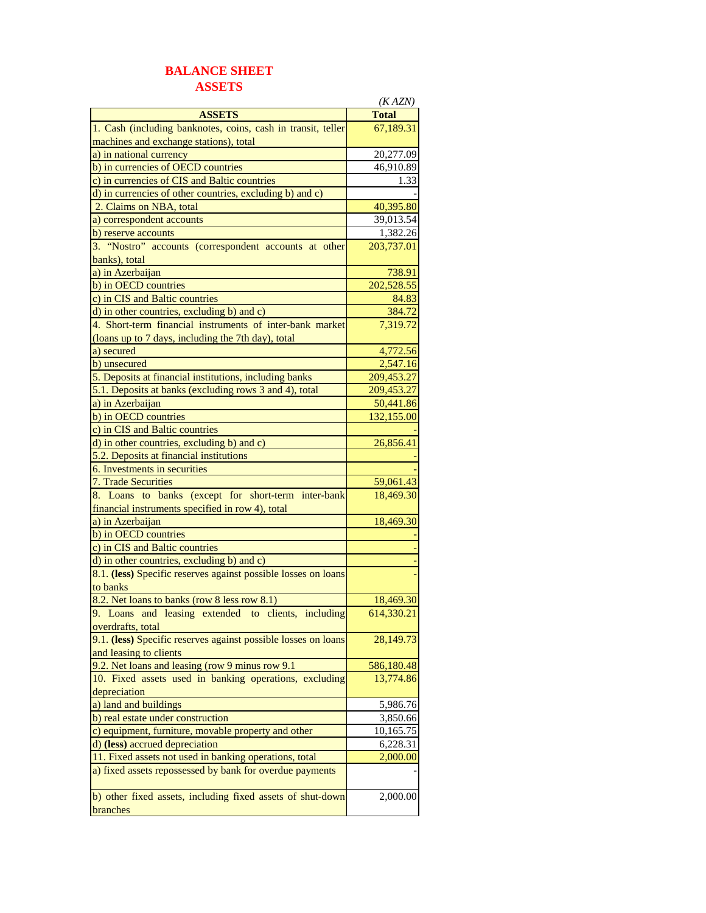## **BALANCE SHEET ASSETS**

|                                                                | (KAZN)       |
|----------------------------------------------------------------|--------------|
| <b>ASSETS</b>                                                  | <b>Total</b> |
| 1. Cash (including banknotes, coins, cash in transit, teller   | 67,189.31    |
| machines and exchange stations), total                         |              |
| a) in national currency                                        | 20,277.09    |
| b) in currencies of OECD countries                             | 46,910.89    |
| c) in currencies of CIS and Baltic countries                   | 1.33         |
| d) in currencies of other countries, excluding b) and c)       |              |
| 2. Claims on NBA, total                                        | 40,395.80    |
| a) correspondent accounts                                      | 39,013.54    |
| b) reserve accounts                                            | 1,382.26     |
| 3. "Nostro" accounts (correspondent accounts at other          | 203,737.01   |
| banks), total                                                  |              |
| a) in Azerbaijan                                               | 738.91       |
| b) in OECD countries                                           | 202,528.55   |
| c) in CIS and Baltic countries                                 | 84.83        |
| d) in other countries, excluding b) and c)                     | 384.72       |
| 4. Short-term financial instruments of inter-bank market       | 7,319.72     |
| (loans up to 7 days, including the 7th day), total             |              |
| a) secured                                                     | 4,772.56     |
| b) unsecured                                                   | 2,547.16     |
| 5. Deposits at financial institutions, including banks         | 209,453.27   |
| 5.1. Deposits at banks (excluding rows 3 and 4), total         | 209,453.27   |
| a) in Azerbaijan                                               | 50,441.86    |
| b) in OECD countries                                           | 132,155.00   |
| c) in CIS and Baltic countries                                 |              |
| d) in other countries, excluding b) and c)                     | 26,856.41    |
| 5.2. Deposits at financial institutions                        |              |
| 6. Investments in securities                                   |              |
| 7. Trade Securities                                            | 59,061.43    |
| 8. Loans to banks (except for short-term inter-bank            | 18,469.30    |
| financial instruments specified in row 4), total               |              |
| a) in Azerbaijan                                               | 18,469.30    |
| b) in OECD countries                                           |              |
| c) in CIS and Baltic countries                                 |              |
| d) in other countries, excluding b) and c)                     |              |
| 8.1. (less) Specific reserves against possible losses on loans |              |
| to banks                                                       |              |
| 8.2. Net loans to banks (row 8 less row 8.1)                   | 18,469.30    |
| 9. Loans and leasing extended to clients, including            | 614.330.21   |
| <u>overdrafts, total</u>                                       |              |
| 9.1. (less) Specific reserves against possible losses on loans | 28,149.73    |
| and leasing to clients                                         |              |
| 9.2. Net loans and leasing (row 9 minus row 9.1)               | 586,180.48   |
| 10. Fixed assets used in banking operations, excluding         | 13,774.86    |
| depreciation                                                   |              |
| a) land and buildings                                          | 5,986.76     |
| b) real estate under construction                              | 3,850.66     |
| c) equipment, furniture, movable property and other            | 10,165.75    |
| d) (less) accrued depreciation                                 | 6,228.31     |
| 11. Fixed assets not used in banking operations, total         | 2,000.00     |
| a) fixed assets repossessed by bank for overdue payments       |              |
|                                                                |              |
| b) other fixed assets, including fixed assets of shut-down     | 2,000.00     |
| branches                                                       |              |
|                                                                |              |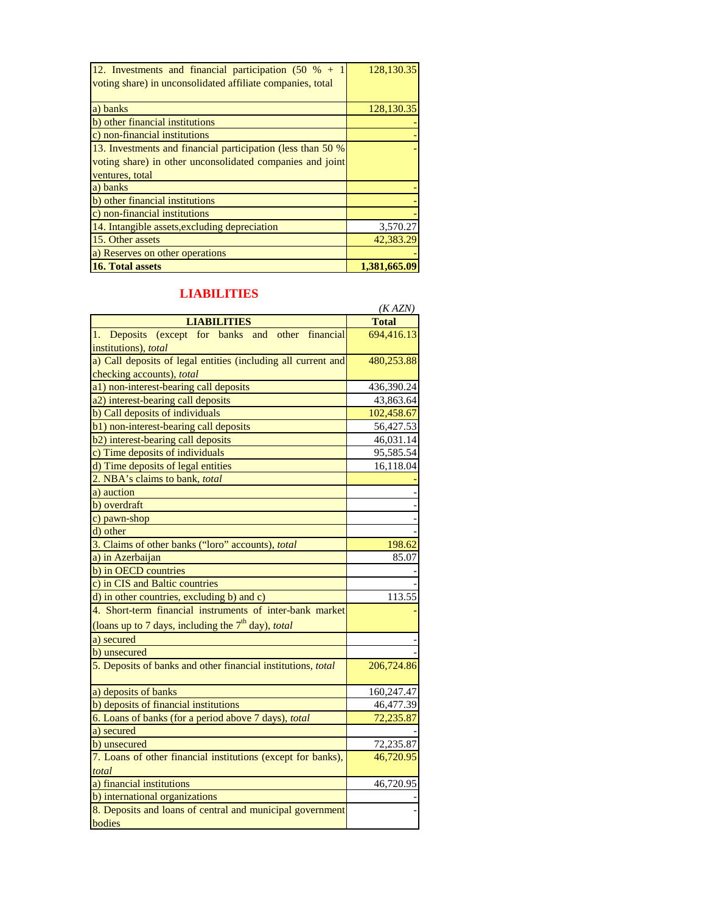| 12. Investments and financial participation $(50 \, % + 1)$<br>voting share) in unconsolidated affiliate companies, total | 128,130.35 |
|---------------------------------------------------------------------------------------------------------------------------|------------|
| a) banks                                                                                                                  | 128,130.35 |
| b) other financial institutions                                                                                           |            |
| c) non-financial institutions                                                                                             |            |
| 13. Investments and financial participation (less than 50 %)                                                              |            |
| voting share) in other unconsolidated companies and joint                                                                 |            |
| ventures, total                                                                                                           |            |
| a) banks                                                                                                                  |            |
| b) other financial institutions                                                                                           |            |
| c) non-financial institutions                                                                                             |            |
| 14. Intangible assets, excluding depreciation                                                                             | 3,570.27   |
| 15. Other assets                                                                                                          | 42,383.29  |
| a) Reserves on other operations                                                                                           |            |
| <b>16. Total assets</b>                                                                                                   | 1.381.665. |

## **LIABILITIES**

|                                                               | (KAZN)       |
|---------------------------------------------------------------|--------------|
| <b>LIABILITIES</b>                                            | <b>Total</b> |
| Deposits (except for banks and other financial<br>1.          | 694,416.13   |
| institutions), total                                          |              |
| a) Call deposits of legal entities (including all current and | 480,253.88   |
| checking accounts), total                                     |              |
| a1) non-interest-bearing call deposits                        | 436,390.24   |
| a2) interest-bearing call deposits                            | 43,863.64    |
| b) Call deposits of individuals                               | 102,458.67   |
| b1) non-interest-bearing call deposits                        | 56,427.53    |
| b2) interest-bearing call deposits                            | 46,031.14    |
| c) Time deposits of individuals                               | 95,585.54    |
| d) Time deposits of legal entities                            | 16,118.04    |
| 2. NBA's claims to bank, total                                |              |
| a) auction                                                    |              |
| b) overdraft                                                  |              |
| c) pawn-shop                                                  |              |
| d) other                                                      |              |
| 3. Claims of other banks ("loro" accounts), total             | 198.62       |
| a) in Azerbaijan                                              | 85.07        |
| b) in OECD countries                                          |              |
| c) in CIS and Baltic countries                                |              |
| d) in other countries, excluding b) and c)                    | 113.55       |
| 4. Short-term financial instruments of inter-bank market      |              |
| (loans up to 7 days, including the $7th$ day), total          |              |
| a) secured                                                    |              |
| b) unsecured                                                  |              |
| 5. Deposits of banks and other financial institutions, total  | 206,724.86   |
| a) deposits of banks                                          | 160,247.47   |
| b) deposits of financial institutions                         | 46,477.39    |
| 6. Loans of banks (for a period above 7 days), total          | 72,235.87    |
| a) secured                                                    |              |
| b) unsecured                                                  | 72,235.87    |
| 7. Loans of other financial institutions (except for banks),  | 46,720.95    |
| total                                                         |              |
| a) financial institutions                                     | 46,720.95    |
| b) international organizations                                |              |
| 8. Deposits and loans of central and municipal government     |              |
| bodies                                                        |              |